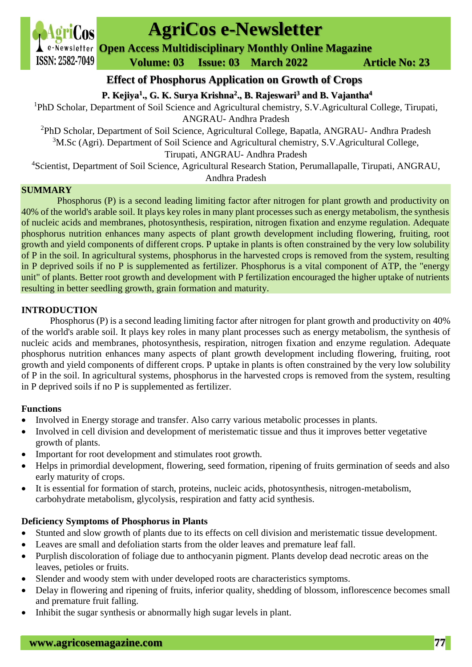

# **AgriCos e-Newsletter**

**Open Access Multidisciplinary Monthly Online Magazine**

 **Volume: 03 Issue: 03 March 2022 Article No: 23**

**Effect of Phosphorus Application on Growth of Crops**

**P. Kejiya<sup>1</sup> ., G. K. Surya Krishna<sup>2</sup> ., B. Rajeswari<sup>3</sup> and B. Vajantha<sup>4</sup>**

<sup>1</sup>PhD Scholar, Department of Soil Science and Agricultural chemistry, S.V.Agricultural College, Tirupati, ANGRAU- Andhra Pradesh

<sup>2</sup>PhD Scholar, Department of Soil Science, Agricultural College, Bapatla, ANGRAU- Andhra Pradesh <sup>3</sup>M.Sc (Agri). Department of Soil Science and Agricultural chemistry, S.V.Agricultural College,

Tirupati, ANGRAU- Andhra Pradesh

<sup>4</sup>Scientist, Department of Soil Science, Agricultural Research Station, Perumallapalle, Tirupati, ANGRAU,

Andhra Pradesh

#### **SUMMARY**

Phosphorus (P) is a second leading limiting factor after nitrogen for plant growth and productivity on 40% of the world's arable soil. It plays key roles in many plant processes such as energy metabolism, the synthesis of nucleic acids and membranes, photosynthesis, respiration, nitrogen fixation and enzyme regulation. Adequate phosphorus nutrition enhances many aspects of plant growth development including flowering, fruiting, root growth and yield components of different crops. P uptake in plants is often constrained by the very low solubility of P in the soil. In agricultural systems, phosphorus in the harvested crops is removed from the system, resulting in P deprived soils if no P is supplemented as fertilizer. Phosphorus is a vital component of ATP, the "energy unit" of plants. Better root growth and development with P fertilization encouraged the higher uptake of nutrients resulting in better seedling growth, grain formation and maturity.

## **INTRODUCTION**

Phosphorus (P) is a second leading limiting factor after nitrogen for plant growth and productivity on 40% of the world's arable soil. It plays key roles in many plant processes such as energy metabolism, the synthesis of nucleic acids and membranes, photosynthesis, respiration, nitrogen fixation and enzyme regulation. Adequate phosphorus nutrition enhances many aspects of plant growth development including flowering, fruiting, root growth and yield components of different crops. P uptake in plants is often constrained by the very low solubility of P in the soil. In agricultural systems, phosphorus in the harvested crops is removed from the system, resulting in P deprived soils if no P is supplemented as fertilizer.

## **Functions**

- Involved in Energy storage and transfer. Also carry various metabolic processes in plants.
- Involved in cell division and development of meristematic tissue and thus it improves better vegetative growth of plants.
- Important for root development and stimulates root growth.
- Helps in primordial development, flowering, seed formation, ripening of fruits germination of seeds and also early maturity of crops.
- It is essential for formation of starch, proteins, nucleic acids, photosynthesis, nitrogen-metabolism, carbohydrate metabolism, glycolysis, respiration and fatty acid synthesis.

## **Deficiency Symptoms of Phosphorus in Plants**

- Stunted and slow growth of plants due to its effects on cell division and meristematic tissue development.
- Leaves are small and defoliation starts from the older leaves and premature leaf fall.
- Purplish discoloration of foliage due to anthocyanin pigment. Plants develop dead necrotic areas on the leaves, petioles or fruits.
- Slender and woody stem with under developed roots are characteristics symptoms.
- Delay in flowering and ripening of fruits, inferior quality, shedding of blossom, inflorescence becomes small and premature fruit falling.
- Inhibit the sugar synthesis or abnormally high sugar levels in plant.